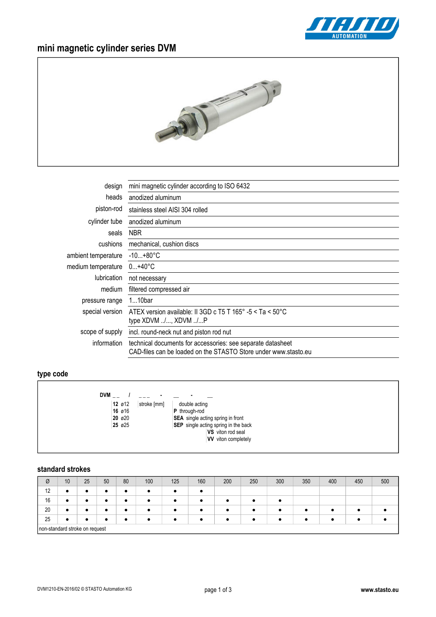

# **mini magnetic cylinder series DVM**



| design              | mini magnetic cylinder according to ISO 6432                                                                                   |  |  |  |  |  |  |
|---------------------|--------------------------------------------------------------------------------------------------------------------------------|--|--|--|--|--|--|
| heads               | anodized aluminum                                                                                                              |  |  |  |  |  |  |
| piston-rod          | stainless steel AISI 304 rolled                                                                                                |  |  |  |  |  |  |
| cylinder tube       | anodized aluminum                                                                                                              |  |  |  |  |  |  |
| seals               | <b>NBR</b>                                                                                                                     |  |  |  |  |  |  |
| cushions            | mechanical, cushion discs                                                                                                      |  |  |  |  |  |  |
| ambient temperature | $-10+80^{\circ}C$                                                                                                              |  |  |  |  |  |  |
| medium temperature  | $0+40^{\circ}C$                                                                                                                |  |  |  |  |  |  |
| <i>lubrication</i>  | not necessary                                                                                                                  |  |  |  |  |  |  |
| medium              | filtered compressed air                                                                                                        |  |  |  |  |  |  |
| pressure range      | $110$ bar                                                                                                                      |  |  |  |  |  |  |
| special version     | ATEX version available: II 3GD c T5 T 165° -5 < Ta < 50°C<br>type XDVM /, XDVM /P                                              |  |  |  |  |  |  |
| scope of supply     | incl. round-neck nut and piston rod nut                                                                                        |  |  |  |  |  |  |
| information         | technical documents for accessories: see separate datasheet<br>CAD-files can be loaded on the STASTO Store under www.stasto.eu |  |  |  |  |  |  |

## **type code**

| $DWM_{--}$<br>$\sim$      |                                          |
|---------------------------|------------------------------------------|
| $12$ $012$<br>stroke [mm] | double acting                            |
| 16 ø16                    | P through-rod                            |
| $20\,$ $\emptyset$ $20\,$ | <b>SEA</b> single acting spring in front |
| 25 ø25                    | SEP single acting spring in the back     |
|                           | VS viton rod seal                        |
|                           | <b>VV</b> viton completely               |
|                           |                                          |
|                           |                                          |

### **standard strokes**

| Ø                              | 10        | 25 | 50        | 80 | 100 | 125       | 160 | 200       | 250       | 300 | 350 | 400 | 450 | 500 |
|--------------------------------|-----------|----|-----------|----|-----|-----------|-----|-----------|-----------|-----|-----|-----|-----|-----|
| 12                             | ٠         | ٠  | ٠         | ٠  | ٠   | $\bullet$ |     |           |           |     |     |     |     |     |
| 16                             | $\bullet$ | ٠  | $\bullet$ | ٠  | ٠   | $\bullet$ |     | ٠         |           |     |     |     |     |     |
| 20                             | $\bullet$ | ٠  | $\bullet$ | ٠  | ٠   | $\bullet$ | ٠   | $\bullet$ | $\bullet$ | ٠   | ٠   | ٠   |     |     |
| 25                             | ٠         | ٠  | $\bullet$ | ٠  | ٠   | ٠         |     | $\bullet$ | ٠         | ٠   | ٠   | ٠   |     |     |
| non-standard stroke on request |           |    |           |    |     |           |     |           |           |     |     |     |     |     |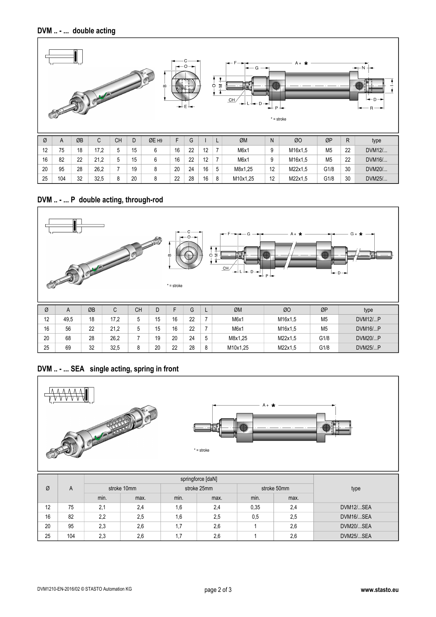

## **DVM .. - ... P double acting, through-rod**



## **DVM .. - ... SEA single acting, spring in front**